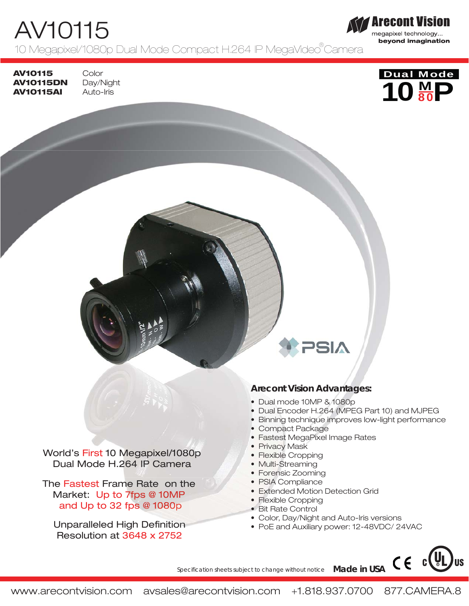# AV10115

10 Megapixel/1080p Dual Mode Compact H.264 IP MegaVideo®Camera

**AV10115 AV10115DN AV10115AI**

Color Day/Night Auto-Iris



**Arecont Vision** megapixel technology... beyond imagination

World's First 10 Megapixel/1080p 10 Megapixel/1080p Dual Mode H.264 IP Camera

The Fastest Frame Rate on the Market: Up to 7fps @ 10MP and Up to 32 fps  $@$  1080p at 3080<br>
a Dual Encoder H.264 (MPE<br>
bual Encoder H.264 (MPE<br>
bual Encoder H.264 (MPE<br>
bual Encoder H.264 (MPE<br>
bual Encoder H.264 (MPE<br>
bual Encoder H.264 (MPE<br>
bual Encoder H.264 (MPE<br>
bual Encoder H.264 (MPE<br>
bual Encode

Unparalleled High Definition Definition Resolution at 3648 x 2752

# **Arecont Vision Advantages:**

**NBC** 

- 
- Dual Encoder H.264 (MPEG Part 10) and MJPEG
- Binning technique improves low-light performance
- Compact Package
- Fastest MegaPixel Image Rates
- Privacy Mask
- Flexible Cropping
- Multi-Streaming
- Forensic Zooming
- PSIA Compliance
- Extended Motion Detection Grid
- Flexible Cropping
- Bit Rate Control
- Color, Day/Night and Auto-Iris versions
- PoE and Auxiliary power: 12-48VDC/ 24VAC

Specification sheets subject to change without notice **Made in USA**